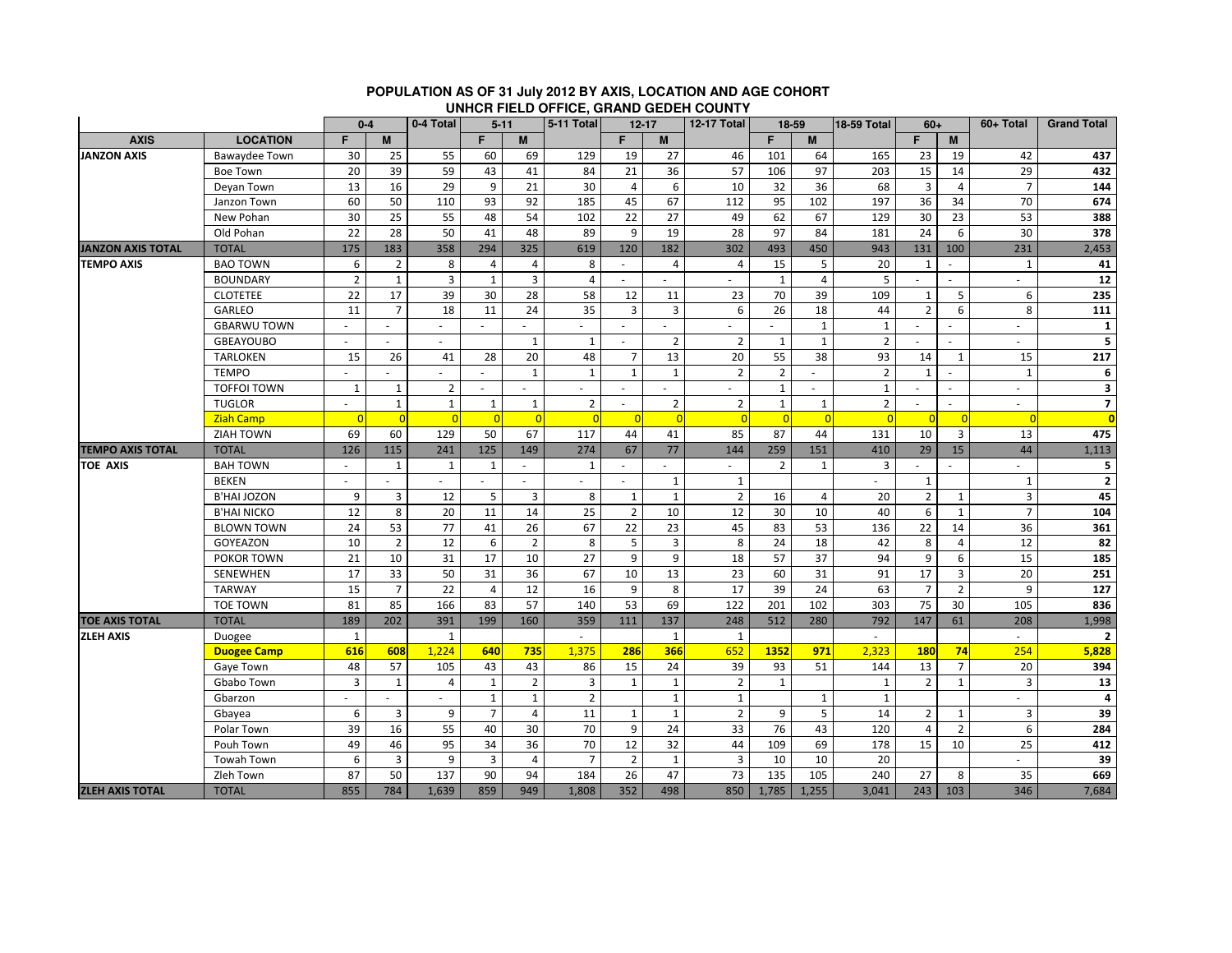|                          |                      | $0 - 4$        |                | -<br>0-4 Total<br>$5 - 11$ |                |                | 5-11 Total<br>$12 - 17$ |                | ---            | <b>12-17 Total</b> | 18-59          |                | 18-59 Total<br>$60+$     |                | 60+ Total      | <b>Grand Total</b> |                         |
|--------------------------|----------------------|----------------|----------------|----------------------------|----------------|----------------|-------------------------|----------------|----------------|--------------------|----------------|----------------|--------------------------|----------------|----------------|--------------------|-------------------------|
| <b>AXIS</b>              | <b>LOCATION</b>      | F              | M              |                            | F              | M              |                         | F.             | M              |                    | F.             | M              |                          | F              | M              |                    |                         |
| <b>JANZON AXIS</b>       | <b>Bawaydee Town</b> | 30             | 25             | 55                         | 60             | 69             | 129                     | 19             | 27             | 46                 | 101            | 64             | 165                      | 23             | 19             | 42                 | 437                     |
|                          | Boe Town             | 20             | 39             | 59                         | 43             | 41             | 84                      | 21             | 36             | 57                 | 106            | 97             | 203                      | 15             | 14             | 29                 | 432                     |
|                          | Deyan Town           | 13             | 16             | 29                         | 9              | 21             | 30                      | $\overline{4}$ | 6              | 10                 | 32             | 36             | 68                       | 3              | $\overline{4}$ | $\overline{7}$     | 144                     |
|                          | Janzon Town          | 60             | 50             | 110                        | 93             | 92             | 185                     | 45             | 67             | 112                | 95             | 102            | 197                      | 36             | 34             | 70                 | 674                     |
|                          | New Pohan            | 30             | 25             | 55                         | 48             | 54             | 102                     | 22             | 27             | 49                 | 62             | 67             | 129                      | 30             | 23             | 53                 | 388                     |
|                          | Old Pohan            | 22             | 28             | 50                         | 41             | 48             | 89                      | 9              | 19             | 28                 | 97             | 84             | 181                      | 24             | 6              | 30                 | 378                     |
| <b>JANZON AXIS TOTAL</b> | <b>TOTAL</b>         | 175            | 183            | 358                        | 294            | 325            | 619                     | 120            | 182            | 302                | 493            | 450            | 943                      | 131            | 100            | 231                | 2,453                   |
| <b>TEMPO AXIS</b>        | <b>BAO TOWN</b>      | 6              | $\overline{2}$ | 8                          | $\overline{4}$ | 4              | 8                       | $\sim$         | 4              | $\overline{4}$     | 15             | 5              | 20                       | $\mathbf{1}$   | $\sim$         | $\mathbf{1}$       | 41                      |
|                          | <b>BOUNDARY</b>      | $\overline{2}$ | $\mathbf{1}$   | 3                          | $\mathbf{1}$   | 3              | 4                       |                |                |                    | $\mathbf{1}$   | $\overline{4}$ | 5                        |                | ÷.             | $\sim$             | ${\bf 12}$              |
|                          | <b>CLOTETEE</b>      | 22             | 17             | 39                         | 30             | 28             | 58                      | 12             | 11             | 23                 | 70             | 39             | 109                      | $\mathbf{1}$   | 5              | 6                  | 235                     |
|                          | <b>GARLEO</b>        | 11             | $\overline{7}$ | 18                         | 11             | 24             | 35                      | 3              | 3              | 6                  | 26             | 18             | 44                       | $\overline{2}$ | 6              | 8                  | 111                     |
|                          | <b>GBARWU TOWN</b>   |                |                | $\sim$                     |                | ٠              |                         | $\sim$         |                |                    |                | $\mathbf{1}$   | $\mathbf{1}$             |                |                |                    | $\mathbf{1}$            |
|                          | <b>GBEAYOUBO</b>     |                |                |                            |                | $\mathbf{1}$   | $\mathbf{1}$            |                | $\overline{2}$ | $\overline{2}$     | $\mathbf{1}$   | $\mathbf{1}$   | $\overline{2}$           |                |                |                    | 5                       |
|                          | <b>TARLOKEN</b>      | 15             | 26             | 41                         | 28             | 20             | 48                      | $\overline{7}$ | 13             | 20                 | 55             | 38             | 93                       | 14             | $\mathbf{1}$   | 15                 | 217                     |
|                          | <b>TEMPO</b>         |                |                |                            |                | 1              | 1                       | 1              | 1              | $\overline{2}$     | $\overline{2}$ |                | $\overline{2}$           | $\mathbf{1}$   |                | $\mathbf{1}$       | 6                       |
|                          | <b>TOFFOI TOWN</b>   | 1              | $\mathbf{1}$   | $\overline{2}$             |                |                |                         |                |                |                    | $\mathbf{1}$   |                | $\mathbf{1}$             | $\sim$         | $\overline{a}$ | $\sim$             | $\overline{\mathbf{3}}$ |
|                          | <b>TUGLOR</b>        | $\sim$         | $\mathbf{1}$   | $\mathbf{1}$               | $\mathbf{1}$   | $\mathbf{1}$   | $\overline{2}$          | $\omega$       | $\overline{2}$ | $\overline{2}$     | $\mathbf{1}$   | $\mathbf{1}$   | $\overline{2}$           | $\sim$         | $\sim$         | ÷                  | $\overline{7}$          |
|                          | <b>Ziah Camp</b>     |                |                | $\Omega$                   | $\overline{0}$ | $\overline{0}$ | $\overline{0}$          | $\overline{0}$ | $\overline{0}$ | $\Omega$           | $\Omega$       | $\Omega$       |                          |                | -C             |                    | $\overline{\mathbf{0}}$ |
|                          | ZIAH TOWN            | 69             | 60             | 129                        | 50             | 67             | 117                     | 44             | 41             | 85                 | 87             | 44             | 131                      | 10             | $\overline{3}$ | 13                 | 475                     |
| <b>TEMPO AXIS TOTAL</b>  | <b>TOTAL</b>         | 126            | 115            | 241                        | 125            | 149            | 274                     | 67             | 77             | 144                | 259            | 151            | 410                      | 29             | 15             | 44                 | 1,113                   |
| <b>TOE AXIS</b>          | <b>BAH TOWN</b>      | $\omega$       | $\mathbf 1$    | $\mathbf{1}$               | $\mathbf{1}$   | $\sim$         | $\mathbf{1}$            | $\blacksquare$ | $\omega$       | $\sim$             | $\overline{2}$ | $\mathbf{1}$   | 3                        | $\sim$         | ÷.             | $\sim$             | 5                       |
|                          | <b>BEKEN</b>         | $\sim$         |                | $\sim$                     |                | $\sim$         | ÷.                      | $\sim$         | $\mathbf{1}$   | $\mathbf{1}$       |                |                | $\sim$                   | $\mathbf{1}$   |                | $\mathbf{1}$       | $\mathbf 2$             |
|                          | <b>B'HAI JOZON</b>   | 9              | 3              | 12                         | 5              | 3              | 8                       | 1              | $\mathbf{1}$   | $\overline{2}$     | 16             | $\overline{4}$ | 20                       | $\overline{2}$ | $\mathbf{1}$   | $\overline{3}$     | 45                      |
|                          | <b>B'HAI NICKO</b>   | 12             | 8              | 20                         | 11             | 14             | 25                      | $\overline{2}$ | 10             | 12                 | 30             | 10             | 40                       | 6              | $\mathbf{1}$   | $\overline{7}$     | 104                     |
|                          | <b>BLOWN TOWN</b>    | 24             | 53             | 77                         | 41             | 26             | 67                      | 22             | 23             | 45                 | 83             | 53             | 136                      | 22             | 14             | 36                 | 361                     |
|                          | GOYEAZON             | 10             | $\overline{2}$ | 12                         | 6              | $\overline{2}$ | 8                       | 5              | $\overline{3}$ | 8                  | 24             | 18             | 42                       | 8              | $\overline{4}$ | 12                 | 82                      |
|                          | POKOR TOWN           | 21             | 10             | 31                         | 17             | 10             | 27                      | 9              | 9              | 18                 | 57             | 37             | 94                       | 9              | 6              | 15                 | 185                     |
|                          | SENEWHEN             | 17             | 33             | 50                         | 31             | 36             | 67                      | 10             | 13             | 23                 | 60             | 31             | 91                       | 17             | 3              | 20                 | 251                     |
|                          | <b>TARWAY</b>        | 15             | $\overline{7}$ | 22                         | 4              | 12             | 16                      | 9              | 8              | 17                 | 39             | 24             | 63                       | $\overline{7}$ | $\overline{2}$ | 9                  | 127                     |
|                          | <b>TOE TOWN</b>      | 81             | 85             | 166                        | 83             | 57             | 140                     | 53             | 69             | 122                | 201            | 102            | 303                      | 75             | 30             | 105                | 836                     |
| <b>TOE AXIS TOTAL</b>    | <b>TOTAL</b>         | 189            | 202            | 391                        | 199            | 160            | 359                     | 111            | 137            | 248                | 512            | 280            | 792                      | 147            | 61             | 208                | 1,998                   |
| <b>ZLEH AXIS</b>         | Duogee               | $\mathbf{1}$   |                | $\mathbf{1}$               |                |                | ×.                      |                | $\mathbf{1}$   | $\mathbf{1}$       |                |                | $\overline{\phantom{a}}$ |                |                |                    | $\overline{2}$          |
|                          | <b>Duogee Camp</b>   | 616            | 608            | 1,224                      | 640            | 735            | 1,375                   | 286            | 366            | 652                | 1352           | 971            | 2,323                    | <b>180</b>     | 74             | 254                | 5,828                   |
|                          | Gaye Town            | 48             | 57             | 105                        | 43             | 43             | 86                      | 15             | 24             | 39                 | 93             | 51             | 144                      | 13             | $\overline{7}$ | 20                 | 394                     |
|                          | Gbabo Town           | $\overline{3}$ | $\mathbf{1}$   | $\overline{4}$             | $\mathbf{1}$   | $\overline{2}$ | 3                       | $\mathbf{1}$   | $\mathbf{1}$   | $\overline{2}$     | $\mathbf{1}$   |                | $\mathbf{1}$             | $\overline{2}$ | $\mathbf{1}$   | 3                  | 13                      |
|                          | Gbarzon              |                |                |                            | $\mathbf{1}$   | $\mathbf{1}$   | $\overline{2}$          |                | $\mathbf 1$    | $\mathbf{1}$       |                | $\mathbf{1}$   | $\mathbf{1}$             |                |                |                    | 4                       |
|                          | Gbayea               | 6              | 3              | 9                          | $\overline{7}$ | 4              | 11                      | $\mathbf{1}$   | $\mathbf{1}$   | $\overline{2}$     | 9              | 5              | 14                       | $\overline{2}$ | 1              | 3                  | 39                      |
|                          | Polar Town           | 39             | 16             | 55                         | 40             | 30             | 70                      | 9              | 24             | 33                 | 76             | 43             | 120                      | $\overline{4}$ | $\overline{2}$ | 6                  | 284                     |
|                          | Pouh Town            | 49             | 46             | 95                         | 34             | 36             | 70                      | 12             | 32             | 44                 | 109            | 69             | 178                      | 15             | 10             | 25                 | 412                     |
|                          | <b>Towah Town</b>    | 6              | 3              | 9                          | 3              | 4              | $\overline{7}$          | $\overline{2}$ | 1              | 3                  | 10             | 10             | 20                       |                |                |                    | 39                      |
|                          | Zleh Town            | 87             | 50             | 137                        | 90             | 94             | 184                     | 26             | 47             | 73                 | 135            | 105            | 240                      | 27             | 8              | 35                 | 669                     |
| <b>ZLEH AXIS TOTAL</b>   | <b>TOTAL</b>         | 855            | 784            | 1,639                      | 859            | 949            | 1,808                   | 352            | 498            | 850                | 1,785          | 1,255          | 3,041                    | 243            | 103            | 346                | 7,684                   |

## **POPULATION AS OF 31 July 2012 BY AXIS, LOCATION AND AGE COHORT UNHCR FIELD OFFICE, GRAND GEDEH COUNTY**